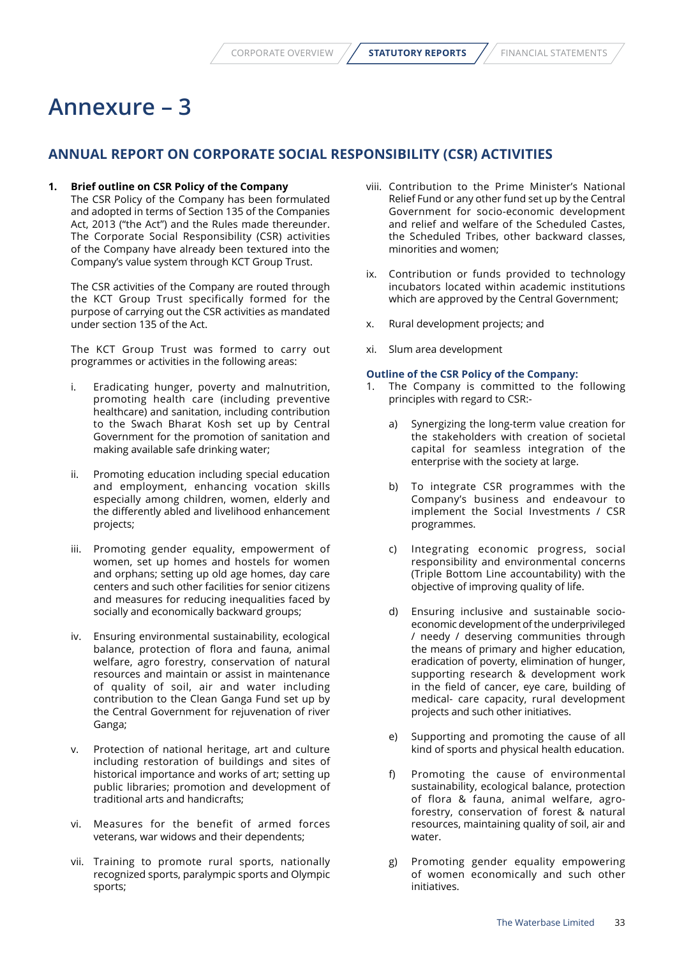## **Annexure – 3**

## **ANNUAL REPORT ON CORPORATE SOCIAL RESPONSIBILITY (CSR) ACTIVITIES**

## **1. Brief outline on CSR Policy of the Company**

 The CSR Policy of the Company has been formulated and adopted in terms of Section 135 of the Companies Act, 2013 ("the Act") and the Rules made thereunder. The Corporate Social Responsibility (CSR) activities of the Company have already been textured into the Company's value system through KCT Group Trust.

 The CSR activities of the Company are routed through the KCT Group Trust specifically formed for the purpose of carrying out the CSR activities as mandated under section 135 of the Act.

 The KCT Group Trust was formed to carry out programmes or activities in the following areas:

- i. Eradicating hunger, poverty and malnutrition, promoting health care (including preventive healthcare) and sanitation, including contribution to the Swach Bharat Kosh set up by Central Government for the promotion of sanitation and making available safe drinking water;
- ii. Promoting education including special education and employment, enhancing vocation skills especially among children, women, elderly and the differently abled and livelihood enhancement projects;
- iii. Promoting gender equality, empowerment of women, set up homes and hostels for women and orphans; setting up old age homes, day care centers and such other facilities for senior citizens and measures for reducing inequalities faced by socially and economically backward groups;
- iv. Ensuring environmental sustainability, ecological balance, protection of flora and fauna, animal welfare, agro forestry, conservation of natural resources and maintain or assist in maintenance of quality of soil, air and water including contribution to the Clean Ganga Fund set up by the Central Government for rejuvenation of river Ganga;
- v. Protection of national heritage, art and culture including restoration of buildings and sites of historical importance and works of art; setting up public libraries; promotion and development of traditional arts and handicrafts;
- vi. Measures for the benefit of armed forces veterans, war widows and their dependents;
- vii. Training to promote rural sports, nationally recognized sports, paralympic sports and Olympic sports;
- viii. Contribution to the Prime Minister's National Relief Fund or any other fund set up by the Central Government for socio-economic development and relief and welfare of the Scheduled Castes, the Scheduled Tribes, other backward classes, minorities and women;
- ix. Contribution or funds provided to technology incubators located within academic institutions which are approved by the Central Government;
- x. Rural development projects; and
- xi. Slum area development

## **Outline of the CSR Policy of the Company:**

- 1. The Company is committed to the following principles with regard to CSR:
	- a) Synergizing the long-term value creation for the stakeholders with creation of societal capital for seamless integration of the enterprise with the society at large.
	- b) To integrate CSR programmes with the Company's business and endeavour to implement the Social Investments / CSR programmes.
	- c) Integrating economic progress, social responsibility and environmental concerns (Triple Bottom Line accountability) with the objective of improving quality of life.
	- d) Ensuring inclusive and sustainable socioeconomic development of the underprivileged / needy / deserving communities through the means of primary and higher education, eradication of poverty, elimination of hunger, supporting research & development work in the field of cancer, eye care, building of medical- care capacity, rural development projects and such other initiatives.
	- e) Supporting and promoting the cause of all kind of sports and physical health education.
	- f) Promoting the cause of environmental sustainability, ecological balance, protection of flora & fauna, animal welfare, agroforestry, conservation of forest & natural resources, maintaining quality of soil, air and water.
	- g) Promoting gender equality empowering of women economically and such other initiatives.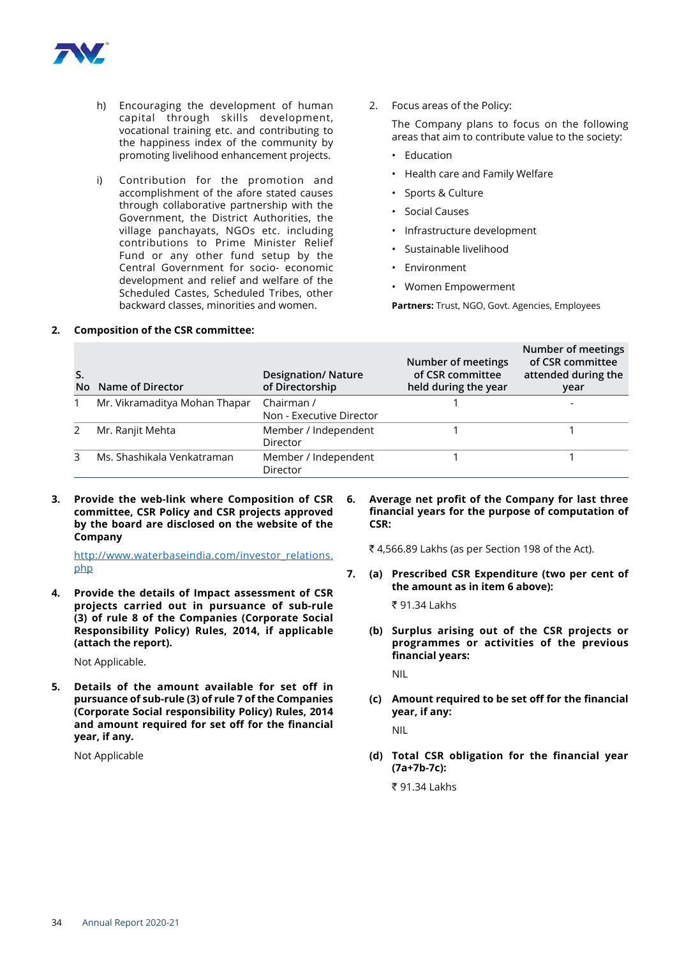

- h) Encouraging the development of human capital through skills development, vocational training etc. and contributing to the happiness index of the community by promoting livelihood enhancement projects.
- i) Contribution for the promotion and accomplishment of the afore stated causes through collaborative partnership with the Government, the District Authorities, the village panchayats, NGOs etc. including contributions to Prime Minister Relief Fund or any other fund setup by the Central Government for socio- economic development and relief and welfare of the Scheduled Castes, Scheduled Tribes, other backward classes, minorities and women.
- 2. Focus areas of the Policy:

 The Company plans to focus on the following areas that aim to contribute value to the society:

- Education
- Health care and Family Welfare
- Sports & Culture
- Social Causes
- Infrastructure development
- Sustainable livelihood
- Environment
- Women Empowerment

**Partners:** Trust, NGO, Govt. Agencies, Employees

**Number of meetings** 

| No | Name of Director              | <b>Designation/ Nature</b><br>of Directorship | Number of meetings<br>of CSR committee<br>held during the year | Number of meetings<br>of CSR committee<br>attended during the<br>year |
|----|-------------------------------|-----------------------------------------------|----------------------------------------------------------------|-----------------------------------------------------------------------|
|    | Mr. Vikramaditya Mohan Thapar | Chairman /<br>Non - Executive Director        |                                                                |                                                                       |
|    | Mr. Ranjit Mehta              | Member / Independent<br>Director              |                                                                |                                                                       |
|    | Ms. Shashikala Venkatraman    | Member / Independent<br>Director              |                                                                |                                                                       |

**3. Provide the web-link where Composition of CSR committee, CSR Policy and CSR projects approved by the board are disclosed on the website of the Company**

**2. Composition of the CSR committee:**

[http://www.waterbaseindia.com/investor\\_relations.](http://www.waterbaseindia.com/investor_relations.php) [php](http://www.waterbaseindia.com/investor_relations.php)

**4. Provide the details of Impact assessment of CSR projects carried out in pursuance of sub-rule (3) of rule 8 of the Companies (Corporate Social Responsibility Policy) Rules, 2014, if applicable (attach the report).**

Not Applicable.

**5. Details of the amount available for set off in pursuance of sub-rule (3) of rule 7 of the Companies (Corporate Social responsibility Policy) Rules, 2014 and amount required for set off for the financial year, if any.**

Not Applicable

**6. Average net profit of the Company for last three financial years for the purpose of computation of CSR:** 

₹ 4,566.89 Lakhs (as per Section 198 of the Act).

**7. (a) Prescribed CSR Expenditure (two per cent of the amount as in item 6 above):**

 $\overline{5}$  91.34 Lakhs

**(b) Surplus arising out of the CSR projects or programmes or activities of the previous financial years:**

NIL

**(c) Amount required to be set off for the financial year, if any:**

NIL

**(d) Total CSR obligation for the financial year (7a+7b-7c):** 

` 91.34 Lakhs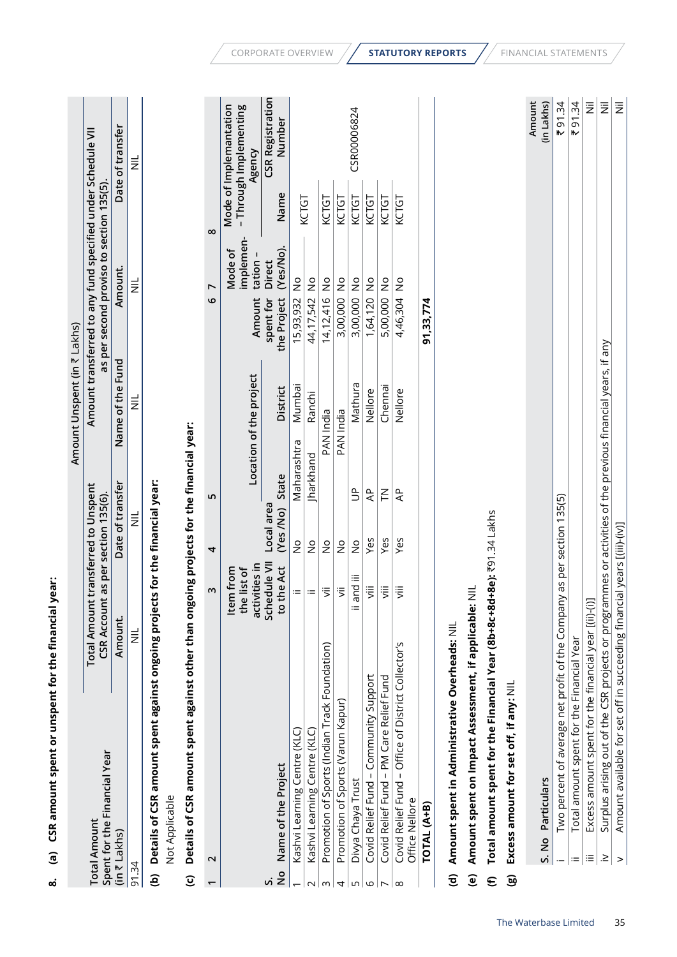|                         | Spent for the Financial Year                                                                                          | CSR Account as per section 135(6).           |                         |                |                         | as per second proviso to section 135(5). |                                  |          |                                                            |
|-------------------------|-----------------------------------------------------------------------------------------------------------------------|----------------------------------------------|-------------------------|----------------|-------------------------|------------------------------------------|----------------------------------|----------|------------------------------------------------------------|
|                         | $(in \bar{x}$ Lakhs)                                                                                                  | Amount.                                      | Date of transfer        |                | Name of the Fund        |                                          | Amount.                          |          | Date of transfer                                           |
| 91.34                   |                                                                                                                       | $\equiv$                                     | 言                       |                | $\equiv$                |                                          | $\equiv$                         |          | $\equiv$                                                   |
| ê                       | Details of CSR amount spent against ongoing projects for the financial year:                                          |                                              |                         |                |                         |                                          |                                  |          |                                                            |
|                         | Not Applicable                                                                                                        |                                              |                         |                |                         |                                          |                                  |          |                                                            |
| $\widehat{\mathbf{c}}$  | Details of CSR amount spent against other than ongoing projects for the financial year:                               |                                              |                         |                |                         |                                          |                                  |          |                                                            |
| $\overline{ }$          | $\mathbf 2$                                                                                                           | $\boldsymbol{\mathsf{m}}$                    | 4                       | LN,            |                         | $\circ$                                  | $\overline{ }$                   | $\infty$ |                                                            |
|                         |                                                                                                                       | activities in<br>e list of<br>Item from<br>£ |                         |                | Location of the project | Amount                                   | implemen-<br>Mode of<br>tation - |          | Mode of Implemantation<br>- Through Implementing<br>Agency |
| $\frac{1}{2}$<br>vi     | Name of the Project                                                                                                   | Schedule VII<br>the Act<br><b>C</b>          | Local area<br>(Yes /No) | State          | <b>District</b>         | the Project<br>spent for                 | (Yes/No)<br><b>Direct</b>        | Name     | <b>CSR Registration</b><br>Number                          |
|                         | Kashvi Learning Centre (KLC)                                                                                          | $\coloneqq$                                  | $\frac{1}{2}$           | Maharashtra    | Mumba                   | 15,93,932                                | $\frac{1}{2}$                    |          |                                                            |
| $\sim$                  | Kashvi Learning Centre (KLC)                                                                                          | $=$                                          | $\frac{1}{2}$           | Jharkhand      | Ranchi                  | 44,17,542                                | $\frac{1}{2}$                    | KCTGT    |                                                            |
| $\omega$                | Promotion of Sports (Indian Track Foundation)                                                                         | $\ddot{\bar{z}}$                             | $\frac{1}{2}$           |                | PAN India               | 14,12,416                                | $\frac{1}{2}$                    | KCTGT    |                                                            |
| 4                       | Promotion of Sports (Varun Kapur)                                                                                     | $\ddot{5}$                                   | $\frac{1}{2}$           |                | PAN India               | 3,00,000                                 | $\frac{1}{2}$                    | KCTGT    |                                                            |
| S                       | Divya Chaya Trust                                                                                                     | and iii<br>$\equiv$                          | $\frac{1}{2}$           | $\tilde{z}$    | Mathura                 | 3,00,000                                 | $\frac{1}{2}$                    | KCTGT    | CSR00006824                                                |
| $\circ$                 | Covid Relief Fund - Community Support                                                                                 | $\ddot{\bar{z}}$                             | Yes                     | दे             | Nellore                 | 1,64,120                                 | $\frac{1}{2}$                    | KCTGT    |                                                            |
| $\overline{ }$          | Covid Relief Fund - PM Care Relief Fund                                                                               | $\ddot{\bar{z}}$                             | Yes                     | $\leq$         | Chennai                 | 5,00,000                                 | $\frac{1}{2}$                    | KCTGT    |                                                            |
| $\infty$                | Covid Relief Fund - Office of District Collector's<br>Office Nellore                                                  | 泻                                            | Yes                     | $\overline{A}$ | Nellore                 | 4,46,304                                 | $\frac{1}{2}$                    | KCTGT    |                                                            |
|                         | TOTAL (A+B)                                                                                                           |                                              |                         |                |                         | 91,33,774                                |                                  |          |                                                            |
| $\widehat{\mathbf{c}}$  | Amount spent in Administrative Overheads: NIL                                                                         |                                              |                         |                |                         |                                          |                                  |          |                                                            |
| $\widehat{\mathbf{e}}$  | Amount spent on Impact Assessment, if applicable:                                                                     | $\equiv$                                     |                         |                |                         |                                          |                                  |          |                                                            |
| $\boldsymbol{\epsilon}$ | Total amount spent for the Financial Year (8b+8c+8d+8e): ₹91.34 Lakhs                                                 |                                              |                         |                |                         |                                          |                                  |          |                                                            |
| $\mathbf{\widehat{g}}$  | Excess amount for set off, if any: NIL                                                                                |                                              |                         |                |                         |                                          |                                  |          |                                                            |
|                         |                                                                                                                       |                                              |                         |                |                         |                                          |                                  |          | Amount                                                     |
|                         | Particulars<br>S. No                                                                                                  |                                              |                         |                |                         |                                          |                                  |          | (in Lakhs)                                                 |
|                         | Two percent of average net profit of the Company as per section 135(5)                                                |                                              |                         |                |                         |                                          |                                  |          | ₹91.34                                                     |
|                         | Total amount spent for the Financial Year<br>$\equiv$                                                                 |                                              |                         |                |                         |                                          |                                  |          | 91.34<br>₩                                                 |
|                         | Excess amount spent for the financial year [(ii)-(i)]<br>$\equiv$                                                     |                                              |                         |                |                         |                                          |                                  |          | $\overline{\Xi}$                                           |
|                         | Surplus arising out of the CSR projects or programmes or activities of the previous financial years, if any<br>$\geq$ |                                              |                         |                |                         |                                          |                                  |          | $\bar{\bar{z}}$                                            |
|                         | Amount available for set off in succeeding financial years [(iii)-(iv)]<br>$\, > \,$                                  |                                              |                         |                |                         |                                          |                                  |          | 巨                                                          |
|                         |                                                                                                                       |                                              |                         |                |                         |                                          |                                  |          |                                                            |

**Amount Unspent (in** ` Lakhs**)**

Amount Unspent (in ₹ Lakhs)

**Amount transferred to any fund specified under Schedule VII**

Amount transferred to any fund specified under Schedule VII

**Total Amount transferred to Unspent** 

Total Amount transferred to Unspent

**Total Amount** 

**Total Amount**